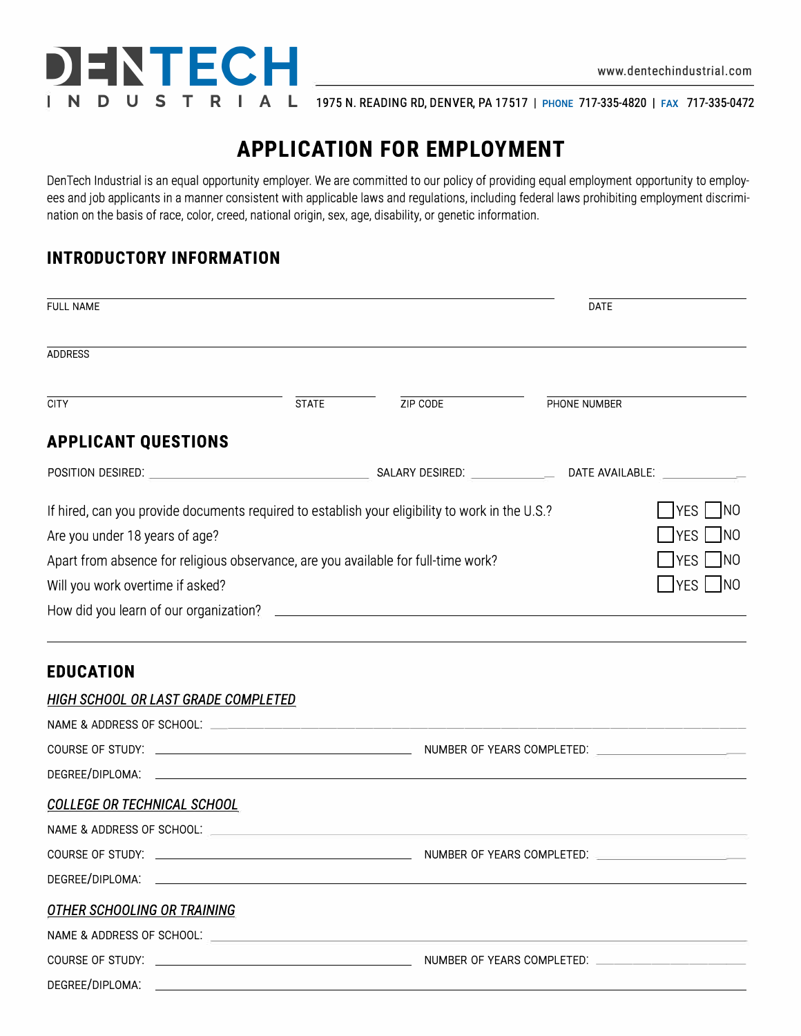

**N D U 5 T R I A L** 1975 N. READING RD, DENVER, PA 17517 I PHONE 717-335-4820 I FAX 717-335-0472

# **APPLICATION FOR EMPLOYMENT**

Den Tech Industrial is an equal opportunity employer. We are committed to our policy of providing equal employment opportunity to employees and job applicants in a manner consistent with applicable laws and regulations, including federal laws prohibiting employment discrimination on the basis of race, color, creed, national origin, sex, age, disability, or genetic information.

## **INTRODUCTORY INFORMATION**

| <b>FULL NAME</b>                                                                                |              |          | <b>DATE</b>   |                   |
|-------------------------------------------------------------------------------------------------|--------------|----------|---------------|-------------------|
| <b>ADDRESS</b>                                                                                  |              |          |               |                   |
| <b>CITY</b>                                                                                     | <b>STATE</b> | ZIP CODE | PHONE NUMBER  |                   |
| <b>APPLICANT QUESTIONS</b>                                                                      |              |          |               |                   |
|                                                                                                 |              |          |               |                   |
| If hired, can you provide documents required to establish your eligibility to work in the U.S.? |              |          |               | NO<br><b>IYES</b> |
| Are you under 18 years of age?                                                                  |              |          | IYES   INO    |                   |
| Apart from absence for religious observance, are you available for full-time work?              |              |          | $ YES $ $ NO$ |                   |
| Will you work overtime if asked?                                                                |              |          | IYES   INO    |                   |
|                                                                                                 |              |          |               |                   |
|                                                                                                 |              |          |               |                   |
|                                                                                                 |              |          |               |                   |

#### **EDUCATION**

## *HIGH SCHOOL OR LAST GRADE COMPLETED*  NAME & ADDRESS OF SCHOOL:  $-$ COURSE OF STUDY: NUMBER OF YEARS COMPLETED: \_\_\_\_\_\_\_ \_ DEGREE/DIPLOMA: *COLLEGE OR TECHNICAL SCHOOL*  NAME & ADDRESS OF SCHOOL: ----------------------------- COURSE OF STUDY: NUMBER OF YEARS COMPLETED: \_\_\_\_\_\_\_ \_ DEGREE/DIPLOMA: *OTHER SCHOOLING OR TRAINING*  NAME & ADDRESS OF SCHOOL:  $\sqrt{2}$ COURSE OF STUDY:  $\blacksquare$ DEGREE/DIPLOMA: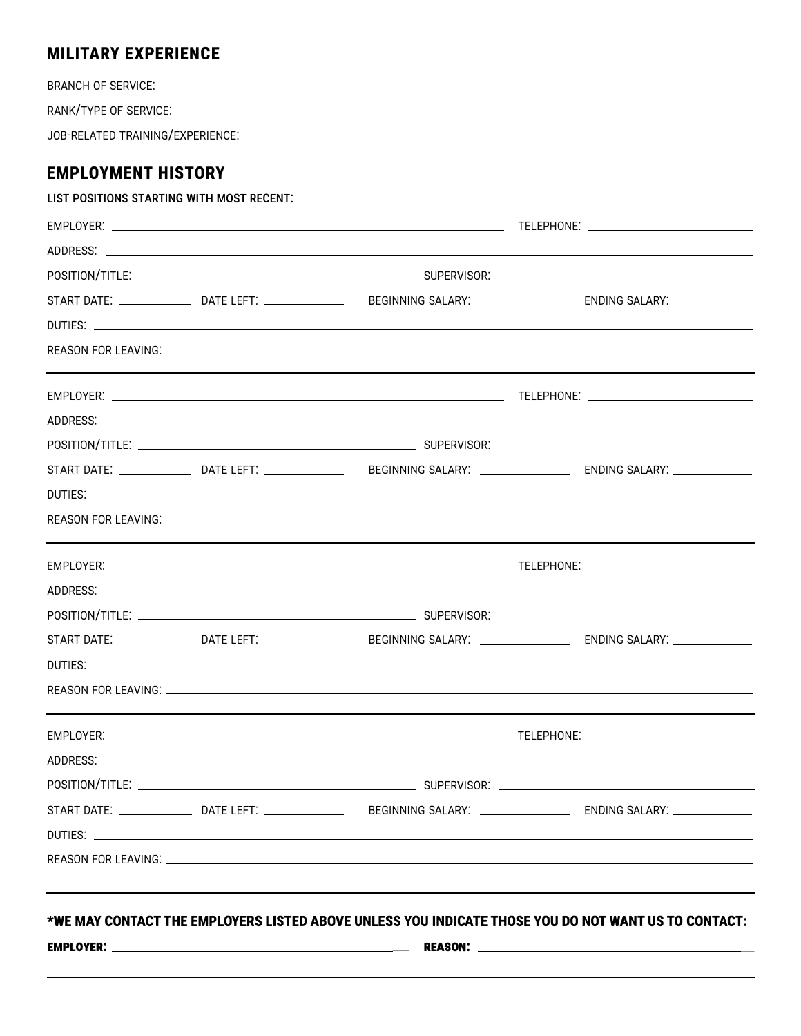## **MILITARY EXPERIENCE**

| BRANCH OF SERVICE.               |  |
|----------------------------------|--|
| RANK/TYPE OF SERVICE:            |  |
| JOB-RELATED TRAINING/EXPERIENCE: |  |
|                                  |  |

## **EMPLOYMENT HISTORY**

|  | START DATE: _______________DATE LEFT: ___________________BEGINNING SALARY: ________________________ ENDING SALARY: ___________________ |  |
|--|----------------------------------------------------------------------------------------------------------------------------------------|--|
|  |                                                                                                                                        |  |
|  |                                                                                                                                        |  |
|  |                                                                                                                                        |  |
|  |                                                                                                                                        |  |
|  |                                                                                                                                        |  |
|  | START DATE: ________________DATE LEFT: _____________________BEGINNING SALARY: ______________________ ENDING SALARY: __________________ |  |
|  |                                                                                                                                        |  |
|  |                                                                                                                                        |  |
|  |                                                                                                                                        |  |
|  |                                                                                                                                        |  |
|  |                                                                                                                                        |  |
|  | START DATE: _______________DATE LEFT: ___________________BEGINNING SALARY: ________________________ ENDING SALARY: _______________     |  |
|  |                                                                                                                                        |  |
|  |                                                                                                                                        |  |
|  |                                                                                                                                        |  |
|  | *WE MAY CONTACT THE EMPLOYERS LISTED ABOVE UNLESS YOU INDICATE THOSE YOU DO NOT WANT US TO CONTACT:                                    |  |
|  |                                                                                                                                        |  |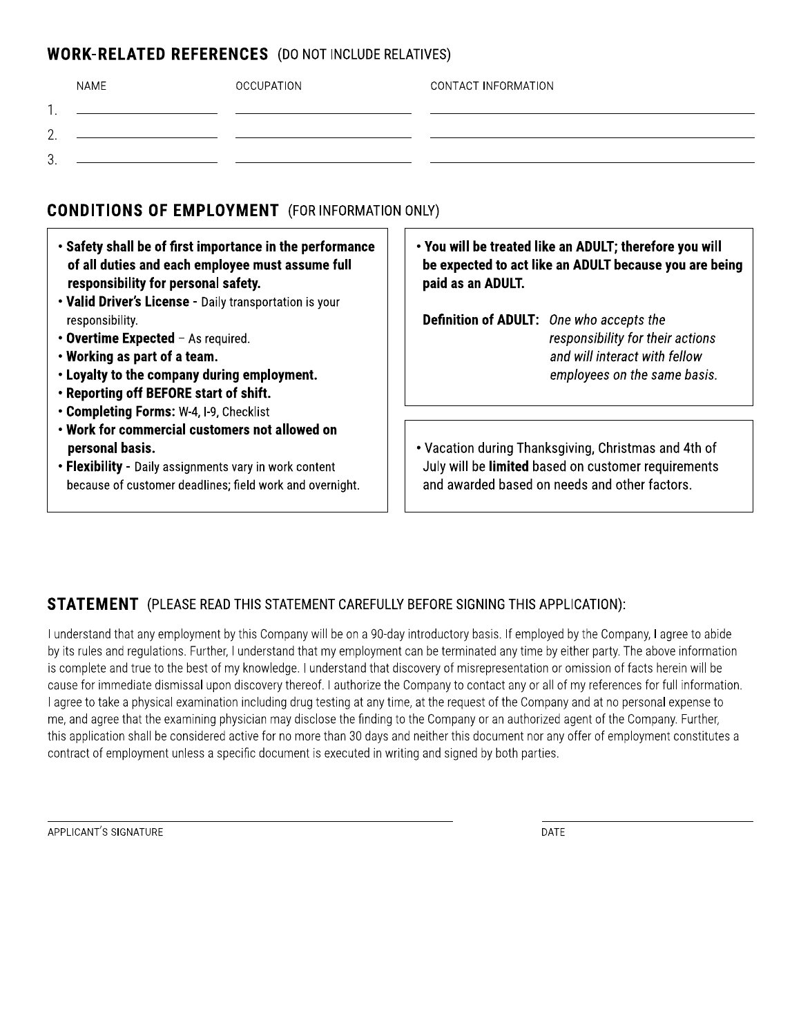#### **WORK-RELATED REFERENCES** (DO NOT INCLUDE RELATIVES)

|           | <b>NAME</b> | OCCUPATION | CONTACT INFORMATION |
|-----------|-------------|------------|---------------------|
| . .       |             |            |                     |
| ⌒<br>ـ ــ |             |            |                     |
| ≘<br>ັ.   |             |            |                     |
|           |             |            |                     |

## **CONDITIONS OF EMPLOYMENT** (FOR INFORMATION ONLY)

- . Safety shall be of first importance in the performance of all duties and each employee must assume full responsibility for personal safety.
- . Valid Driver's License Daily transportation is your responsibility.
- Overtime Expected As required.
- . Working as part of a team.
- . Loyalty to the company during employment.
- . Reporting off BEFORE start of shift.
- Completing Forms: W-4, I-9, Checklist
- . Work for commercial customers not allowed on personal basis.
- . Flexibility Daily assignments vary in work content because of customer deadlines; field work and overnight.

• You will be treated like an ADULT; therefore you will be expected to act like an ADULT because you are being paid as an ADULT.

Definition of ADULT: One who accepts the responsibility for their actions and will interact with fellow employees on the same basis.

. Vacation during Thanksgiving, Christmas and 4th of July will be limited based on customer requirements and awarded based on needs and other factors.

## **STATEMENT** (PLEASE READ THIS STATEMENT CAREFULLY BEFORE SIGNING THIS APPLICATION):

I understand that any employment by this Company will be on a 90-day introductory basis. If employed by the Company, I agree to abide by its rules and requlations. Further, I understand that my employment can be terminated any time by either party. The above information is complete and true to the best of my knowledge. I understand that discovery of misrepresentation or omission of facts herein will be cause for immediate dismissal upon discovery thereof. I authorize the Company to contact any or all of my references for full information. I agree to take a physical examination including drug testing at any time, at the request of the Company and at no personal expense to me, and agree that the examining physician may disclose the finding to the Company or an authorized agent of the Company. Further, this application shall be considered active for no more than 30 days and neither this document nor any offer of employment constitutes a contract of employment unless a specific document is executed in writing and signed by both parties.

DATE